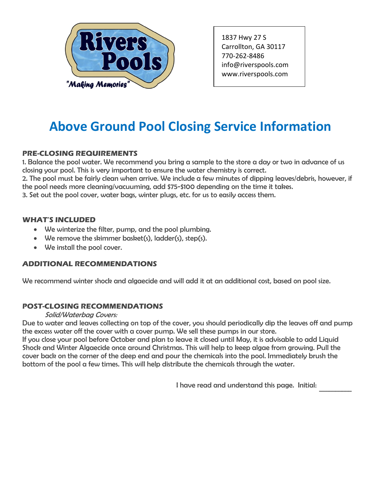

1837 Hwy 27 S Carrollton, GA 30117 770-262-8486 info@riverspools.com [www.riverspools.com](mailto:info@riverspools.com)

# **Above Ground Pool Closing Service Information**

## **PRE-CLOSING REQUIREMENTS**

1. Balance the pool water. We recommend you bring a sample to the store a day or two in advance of us closing your pool. This is very important to ensure the water chemistry is correct.

2. The pool must be fairly clean when arrive. We include a few minutes of dipping leaves/debris, however, if the pool needs more cleaning/vacuuming, add \$75-\$100 depending on the time it takes.

3. Set out the pool cover, water bags, winter plugs, etc. for us to easily access them.

#### **WHAT'S INCLUDED**

- We winterize the filter, pump, and the pool plumbing.
- We remove the skimmer basket(s), ladder(s), step(s).
- We install the pool cover.

### **ADDITIONAL RECOMMENDATIONS**

We recommend winter shock and algaecide and will add it at an additional cost, based on pool size.

### **POST-CLOSING RECOMMENDATIONS**

#### Solid/Waterbag Covers:

Due to water and leaves collecting on top of the cover, you should periodically dip the leaves off and pump the excess water off the cover with a cover pump. We sell these pumps in our store.

If you close your pool before October and plan to leave it closed until May, it is advisable to add Liquid Shock and Winter Algaecide once around Christmas. This will help to keep algae from growing. Pull the cover back on the corner of the deep end and pour the chemicals into the pool. Immediately brush the bottom of the pool a few times. This will help distribute the chemicals through the water.

I have read and understand this page. Initial:

 $\mathcal{L}_\text{max}$